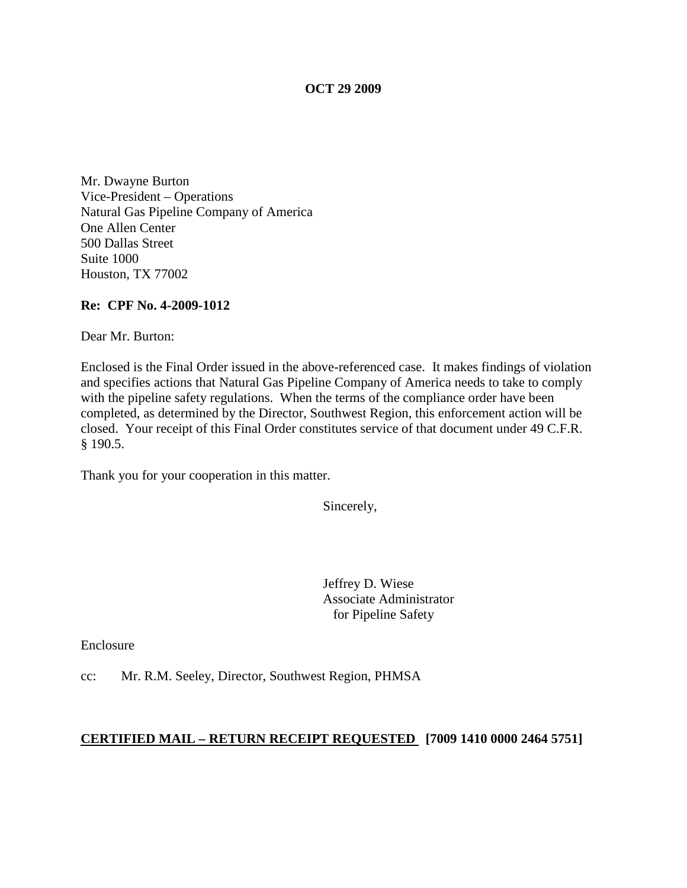### **OCT 29 2009**

Mr. Dwayne Burton Vice-President – Operations Natural Gas Pipeline Company of America One Allen Center 500 Dallas Street Suite 1000 Houston, TX 77002

### **Re: CPF No. 4-2009-1012**

Dear Mr. Burton:

Enclosed is the Final Order issued in the above-referenced case. It makes findings of violation and specifies actions that Natural Gas Pipeline Company of America needs to take to comply with the pipeline safety regulations. When the terms of the compliance order have been completed, as determined by the Director, Southwest Region, this enforcement action will be closed. Your receipt of this Final Order constitutes service of that document under 49 C.F.R. § 190.5.

Thank you for your cooperation in this matter.

Sincerely,

Jeffrey D. Wiese Associate Administrator for Pipeline Safety

Enclosure

cc: Mr. R.M. Seeley, Director, Southwest Region, PHMSA

# **CERTIFIED MAIL – RETURN RECEIPT REQUESTED [7009 1410 0000 2464 5751]**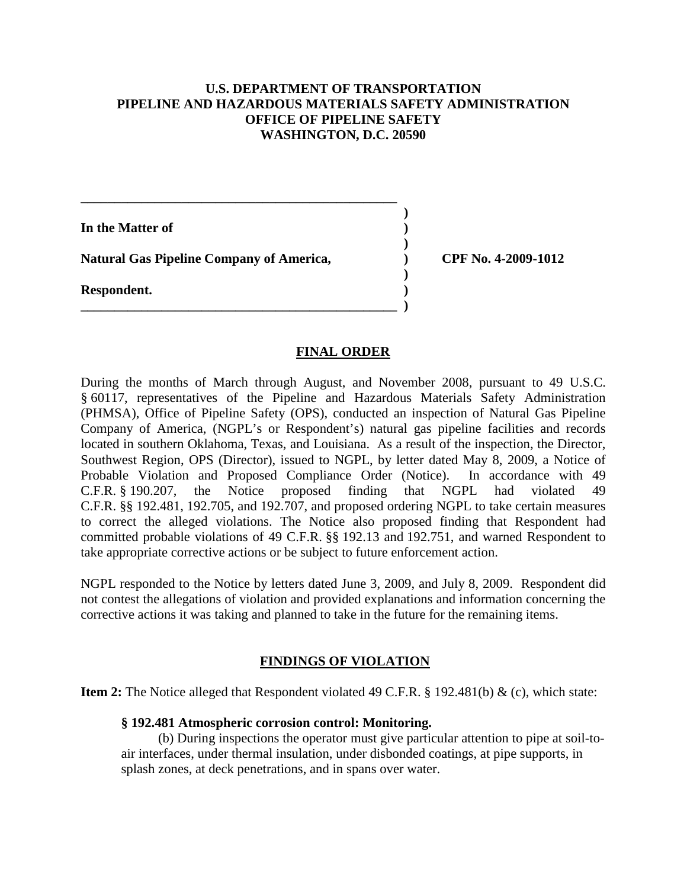# **U.S. DEPARTMENT OF TRANSPORTATION PIPELINE AND HAZARDOUS MATERIALS SAFETY ADMINISTRATION OFFICE OF PIPELINE SAFETY WASHINGTON, D.C. 20590**

**)**

**In the Matter of ) ) Natural Gas Pipeline Company of America, ) CPF No. 4-2009-1012 ) Respondent. ) \_\_\_\_\_\_\_\_\_\_\_\_\_\_\_\_\_\_\_\_\_\_\_\_\_\_\_\_\_\_\_\_\_\_\_\_\_\_\_\_\_\_\_\_\_\_\_ )**

**\_\_\_\_\_\_\_\_\_\_\_\_\_\_\_\_\_\_\_\_\_\_\_\_\_\_\_\_\_\_\_\_\_\_\_\_\_\_\_\_\_\_\_\_\_\_\_**

# **FINAL ORDER**

During the months of March through August, and November 2008, pursuant to 49 U.S.C. § 60117, representatives of the Pipeline and Hazardous Materials Safety Administration (PHMSA), Office of Pipeline Safety (OPS), conducted an inspection of Natural Gas Pipeline Company of America, (NGPL's or Respondent's) natural gas pipeline facilities and records located in southern Oklahoma, Texas, and Louisiana. As a result of the inspection, the Director, Southwest Region, OPS (Director), issued to NGPL, by letter dated May 8, 2009, a Notice of Probable Violation and Proposed Compliance Order (Notice). In accordance with 49 C.F.R. § 190.207, the Notice proposed finding that NGPL had violated 49 C.F.R. §§ 192.481, 192.705, and 192.707, and proposed ordering NGPL to take certain measures to correct the alleged violations. The Notice also proposed finding that Respondent had committed probable violations of 49 C.F.R. §§ 192.13 and 192.751, and warned Respondent to take appropriate corrective actions or be subject to future enforcement action.

NGPL responded to the Notice by letters dated June 3, 2009, and July 8, 2009. Respondent did not contest the allegations of violation and provided explanations and information concerning the corrective actions it was taking and planned to take in the future for the remaining items.

# **FINDINGS OF VIOLATION**

**Item 2:** The Notice alleged that Respondent violated 49 C.F.R. § 192.481(b) & (c), which state:

### **§ 192.481 Atmospheric corrosion control: Monitoring.**

 (b) During inspections the operator must give particular attention to pipe at soil-to air interfaces, under thermal insulation, under disbonded coatings, at pipe supports, in splash zones, at deck penetrations, and in spans over water.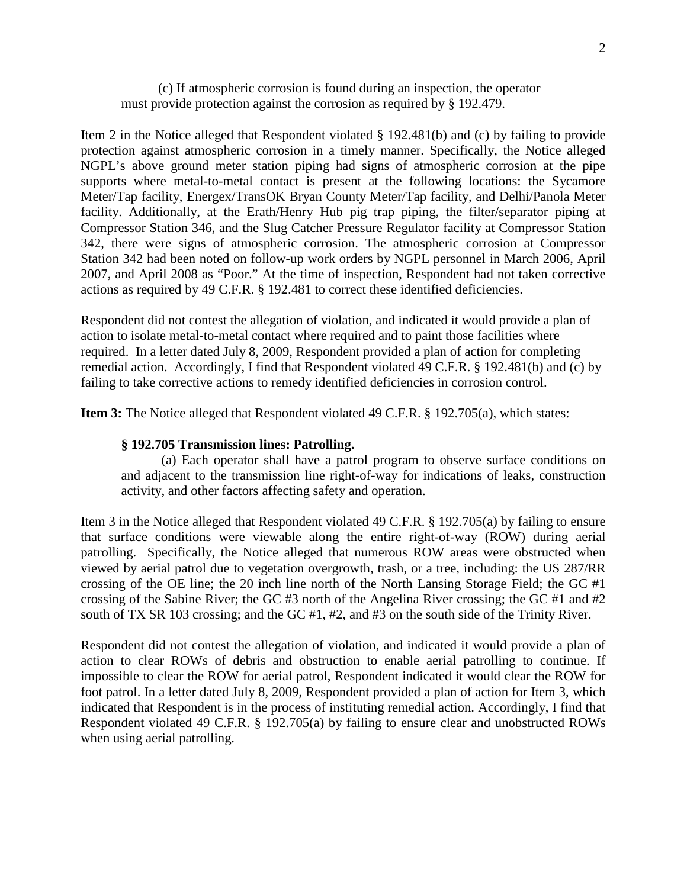(c) If atmospheric corrosion is found during an inspection, the operator must provide protection against the corrosion as required by § 192.479.

Item 2 in the Notice alleged that Respondent violated § 192.481(b) and (c) by failing to provide protection against atmospheric corrosion in a timely manner. Specifically, the Notice alleged NGPL's above ground meter station piping had signs of atmospheric corrosion at the pipe supports where metal-to-metal contact is present at the following locations: the Sycamore Meter/Tap facility, Energex/TransOK Bryan County Meter/Tap facility, and Delhi/Panola Meter facility. Additionally, at the Erath/Henry Hub pig trap piping, the filter/separator piping at Compressor Station 346, and the Slug Catcher Pressure Regulator facility at Compressor Station 342, there were signs of atmospheric corrosion. The atmospheric corrosion at Compressor Station 342 had been noted on follow-up work orders by NGPL personnel in March 2006, April 2007, and April 2008 as "Poor." At the time of inspection, Respondent had not taken corrective actions as required by 49 C.F.R. § 192.481 to correct these identified deficiencies.

Respondent did not contest the allegation of violation, and indicated it would provide a plan of action to isolate metal-to-metal contact where required and to paint those facilities where required. In a letter dated July 8, 2009, Respondent provided a plan of action for completing remedial action. Accordingly, I find that Respondent violated 49 C.F.R. § 192.481(b) and (c) by failing to take corrective actions to remedy identified deficiencies in corrosion control.

**Item 3:** The Notice alleged that Respondent violated 49 C.F.R. § 192.705(a), which states:

#### **§ 192.705 Transmission lines: Patrolling.**

(a) Each operator shall have a patrol program to observe surface conditions on and adjacent to the transmission line right-of-way for indications of leaks, construction activity, and other factors affecting safety and operation.

Item 3 in the Notice alleged that Respondent violated 49 C.F.R. § 192.705(a) by failing to ensure that surface conditions were viewable along the entire right-of-way (ROW) during aerial patrolling. Specifically, the Notice alleged that numerous ROW areas were obstructed when viewed by aerial patrol due to vegetation overgrowth, trash, or a tree, including: the US 287/RR crossing of the OE line; the 20 inch line north of the North Lansing Storage Field; the GC #1 crossing of the Sabine River; the GC #3 north of the Angelina River crossing; the GC #1 and #2 south of TX SR 103 crossing; and the GC #1, #2, and #3 on the south side of the Trinity River.

Respondent did not contest the allegation of violation, and indicated it would provide a plan of action to clear ROWs of debris and obstruction to enable aerial patrolling to continue. If impossible to clear the ROW for aerial patrol, Respondent indicated it would clear the ROW for foot patrol. In a letter dated July 8, 2009, Respondent provided a plan of action for Item 3, which indicated that Respondent is in the process of instituting remedial action. Accordingly, I find that Respondent violated 49 C.F.R. § 192.705(a) by failing to ensure clear and unobstructed ROWs when using aerial patrolling.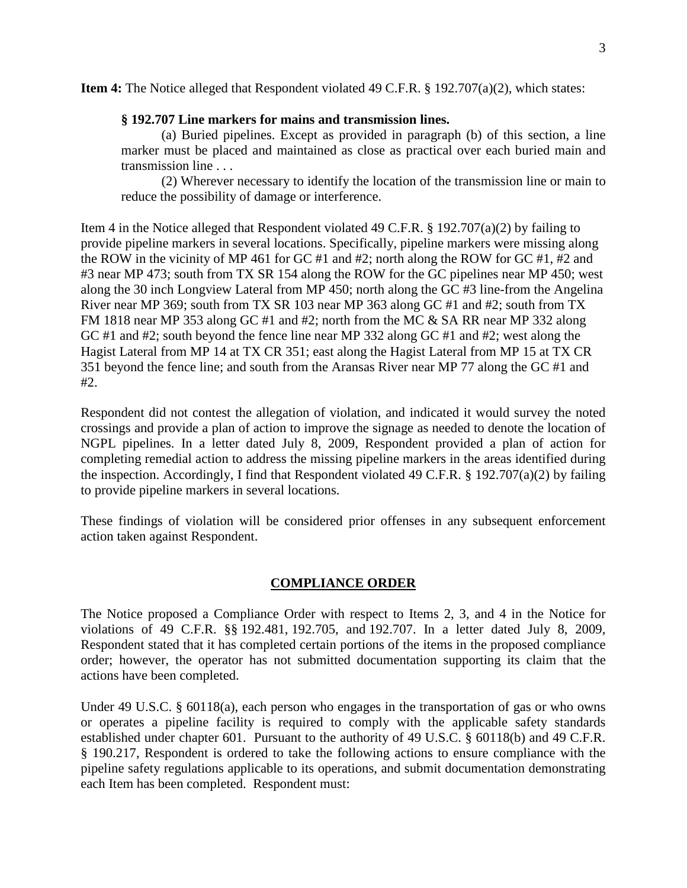**Item 4:** The Notice alleged that Respondent violated 49 C.F.R. § 192.707(a)(2), which states:

### **§ 192.707 Line markers for mains and transmission lines.**

(a) Buried pipelines. Except as provided in paragraph (b) of this section, a line marker must be placed and maintained as close as practical over each buried main and transmission line . . .

(2) Wherever necessary to identify the location of the transmission line or main to reduce the possibility of damage or interference.

Item 4 in the Notice alleged that Respondent violated 49 C.F.R. § 192.707(a)(2) by failing to provide pipeline markers in several locations. Specifically, pipeline markers were missing along the ROW in the vicinity of MP 461 for GC #1 and #2; north along the ROW for GC #1, #2 and #3 near MP 473; south from TX SR 154 along the ROW for the GC pipelines near MP 450; west along the 30 inch Longview Lateral from MP 450; north along the GC #3 line-from the Angelina River near MP 369; south from TX SR 103 near MP 363 along GC #1 and #2; south from TX FM 1818 near MP 353 along GC #1 and #2; north from the MC & SA RR near MP 332 along GC #1 and #2; south beyond the fence line near MP 332 along GC #1 and #2; west along the Hagist Lateral from MP 14 at TX CR 351; east along the Hagist Lateral from MP 15 at TX CR 351 beyond the fence line; and south from the Aransas River near MP 77 along the GC #1 and #2.

Respondent did not contest the allegation of violation, and indicated it would survey the noted crossings and provide a plan of action to improve the signage as needed to denote the location of NGPL pipelines. In a letter dated July 8, 2009, Respondent provided a plan of action for completing remedial action to address the missing pipeline markers in the areas identified during the inspection. Accordingly, I find that Respondent violated 49 C.F.R. § 192.707(a)(2) by failing to provide pipeline markers in several locations.

These findings of violation will be considered prior offenses in any subsequent enforcement action taken against Respondent.

# **COMPLIANCE ORDER**

The Notice proposed a Compliance Order with respect to Items 2, 3, and 4 in the Notice for violations of 49 C.F.R. §§ 192.481, 192.705, and 192.707. In a letter dated July 8, 2009, Respondent stated that it has completed certain portions of the items in the proposed compliance order; however, the operator has not submitted documentation supporting its claim that the actions have been completed.

Under 49 U.S.C. § 60118(a), each person who engages in the transportation of gas or who owns or operates a pipeline facility is required to comply with the applicable safety standards established under chapter 601. Pursuant to the authority of 49 U.S.C. § 60118(b) and 49 C.F.R. § 190.217, Respondent is ordered to take the following actions to ensure compliance with the pipeline safety regulations applicable to its operations, and submit documentation demonstrating each Item has been completed. Respondent must: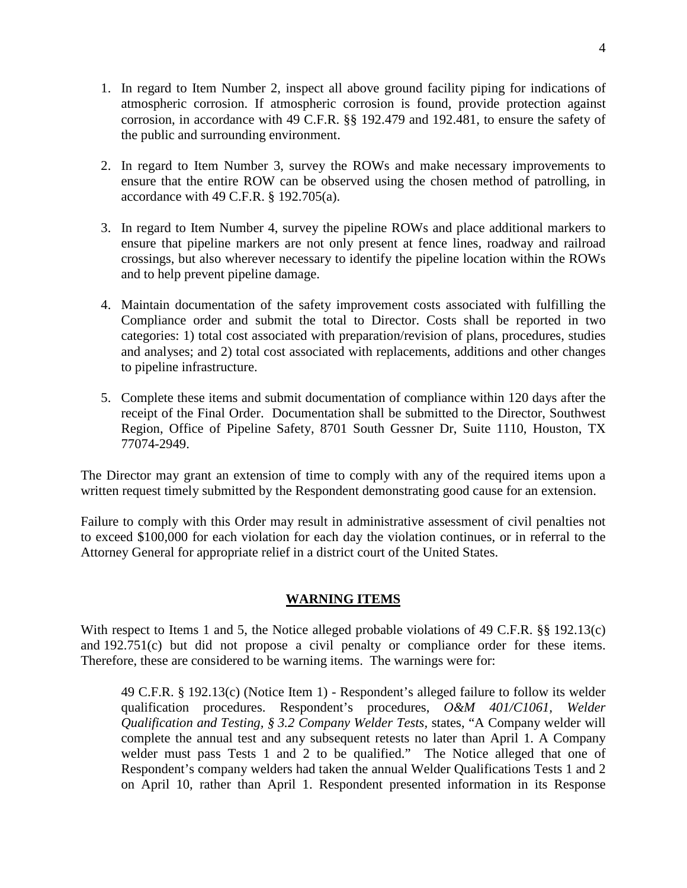- 1. In regard to Item Number 2, inspect all above ground facility piping for indications of atmospheric corrosion. If atmospheric corrosion is found, provide protection against corrosion, in accordance with 49 C.F.R. §§ 192.479 and 192.481, to ensure the safety of the public and surrounding environment.
- 2. In regard to Item Number 3, survey the ROWs and make necessary improvements to ensure that the entire ROW can be observed using the chosen method of patrolling, in accordance with 49 C.F.R. § 192.705(a).
- 3. In regard to Item Number 4, survey the pipeline ROWs and place additional markers to ensure that pipeline markers are not only present at fence lines, roadway and railroad crossings, but also wherever necessary to identify the pipeline location within the ROWs and to help prevent pipeline damage.
- 4. Maintain documentation of the safety improvement costs associated with fulfilling the Compliance order and submit the total to Director. Costs shall be reported in two categories: 1) total cost associated with preparation/revision of plans, procedures, studies and analyses; and 2) total cost associated with replacements, additions and other changes to pipeline infrastructure.
- 5. Complete these items and submit documentation of compliance within 120 days after the receipt of the Final Order. Documentation shall be submitted to the Director, Southwest Region, Office of Pipeline Safety, 8701 South Gessner Dr, Suite 1110, Houston, TX 77074-2949.

The Director may grant an extension of time to comply with any of the required items upon a written request timely submitted by the Respondent demonstrating good cause for an extension.

Failure to comply with this Order may result in administrative assessment of civil penalties not to exceed \$100,000 for each violation for each day the violation continues, or in referral to the Attorney General for appropriate relief in a district court of the United States.

# **WARNING ITEMS**

With respect to Items 1 and 5, the Notice alleged probable violations of 49 C.F.R. §§ 192.13(c) and 192.751(c) but did not propose a civil penalty or compliance order for these items. Therefore, these are considered to be warning items. The warnings were for:

49 C.F.R. § 192.13(c) (Notice Item 1) - Respondent's alleged failure to follow its welder qualification procedures. Respondent's procedures, *O&M 401/C1061, Welder Qualification and Testing, § 3.2 Company Welder Tests,* states, "A Company welder will complete the annual test and any subsequent retests no later than April 1. A Company welder must pass Tests 1 and 2 to be qualified." The Notice alleged that one of Respondent's company welders had taken the annual Welder Qualifications Tests 1 and 2 on April 10, rather than April 1. Respondent presented information in its Response